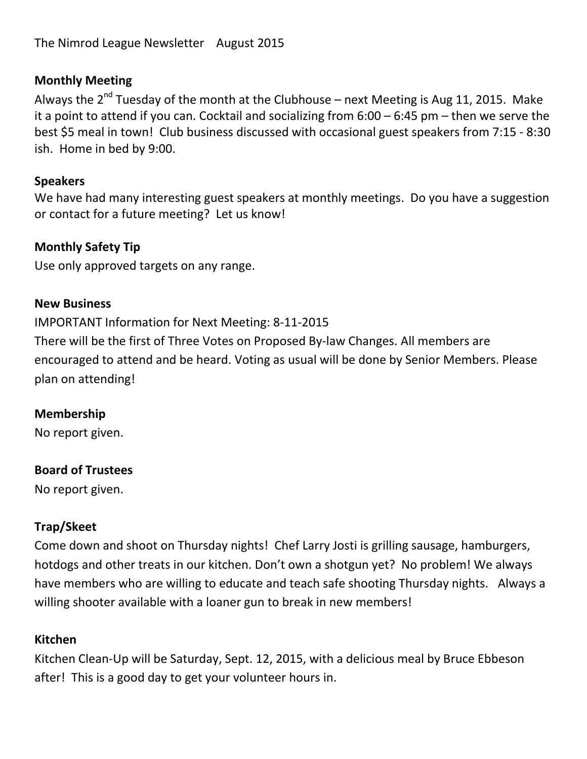The Nimrod League Newsletter August 2015

### **Monthly Meeting**

Always the  $2^{nd}$  Tuesday of the month at the Clubhouse – next Meeting is Aug 11, 2015. Make it a point to attend if you can. Cocktail and socializing from 6:00 – 6:45 pm – then we serve the best \$5 meal in town! Club business discussed with occasional guest speakers from 7:15 - 8:30 ish. Home in bed by 9:00.

### **Speakers**

We have had many interesting guest speakers at monthly meetings. Do you have a suggestion or contact for a future meeting? Let us know!

### **Monthly Safety Tip**

Use only approved targets on any range.

#### **New Business**

IMPORTANT Information for Next Meeting: 8-11-2015

There will be the first of Three Votes on Proposed By-law Changes. All members are encouraged to attend and be heard. Voting as usual will be done by Senior Members. Please plan on attending!

### **Membership**

No report given.

### **Board of Trustees**

No report given.

### **Trap/Skeet**

Come down and shoot on Thursday nights! Chef Larry Josti is grilling sausage, hamburgers, hotdogs and other treats in our kitchen. Don't own a shotgun yet? No problem! We always have members who are willing to educate and teach safe shooting Thursday nights. Always a willing shooter available with a loaner gun to break in new members!

### **Kitchen**

Kitchen Clean-Up will be Saturday, Sept. 12, 2015, with a delicious meal by Bruce Ebbeson after! This is a good day to get your volunteer hours in.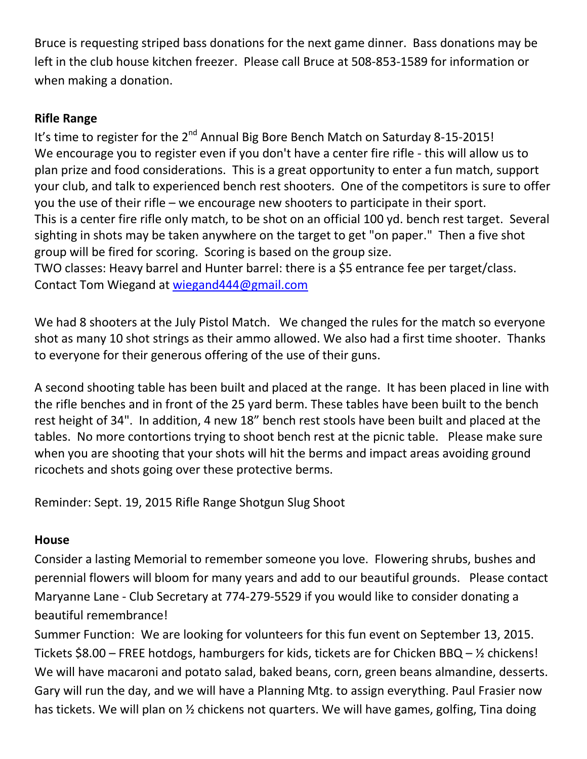Bruce is requesting striped bass donations for the next game dinner. Bass donations may be left in the club house kitchen freezer. Please call Bruce at 508-853-1589 for information or when making a donation.

## **Rifle Range**

It's time to register for the  $2^{nd}$  Annual Big Bore Bench Match on Saturday 8-15-2015! We encourage you to register even if you don't have a center fire rifle - this will allow us to plan prize and food considerations. This is a great opportunity to enter a fun match, support your club, and talk to experienced bench rest shooters. One of the competitors is sure to offer you the use of their rifle – we encourage new shooters to participate in their sport. This is a center fire rifle only match, to be shot on an official 100 yd. bench rest target. Several sighting in shots may be taken anywhere on the target to get "on paper." Then a five shot group will be fired for scoring. Scoring is based on the group size. TWO classes: Heavy barrel and Hunter barrel: there is a \$5 entrance fee per target/class.

Contact Tom Wiegand at [wiegand444@gmail.com](mailto:wiegand444@gmail.com)

We had 8 shooters at the July Pistol Match. We changed the rules for the match so everyone shot as many 10 shot strings as their ammo allowed. We also had a first time shooter. Thanks to everyone for their generous offering of the use of their guns.

A second shooting table has been built and placed at the range. It has been placed in line with the rifle benches and in front of the 25 yard berm. These tables have been built to the bench rest height of 34". In addition, 4 new 18" bench rest stools have been built and placed at the tables. No more contortions trying to shoot bench rest at the picnic table. Please make sure when you are shooting that your shots will hit the berms and impact areas avoiding ground ricochets and shots going over these protective berms.

Reminder: Sept. 19, 2015 Rifle Range Shotgun Slug Shoot

## **House**

Consider a lasting Memorial to remember someone you love. Flowering shrubs, bushes and perennial flowers will bloom for many years and add to our beautiful grounds. Please contact Maryanne Lane - Club Secretary at 774-279-5529 if you would like to consider donating a beautiful remembrance!

Summer Function: We are looking for volunteers for this fun event on September 13, 2015. Tickets \$8.00 – FREE hotdogs, hamburgers for kids, tickets are for Chicken BBQ – ½ chickens! We will have macaroni and potato salad, baked beans, corn, green beans almandine, desserts. Gary will run the day, and we will have a Planning Mtg. to assign everything. Paul Frasier now has tickets. We will plan on % chickens not quarters. We will have games, golfing, Tina doing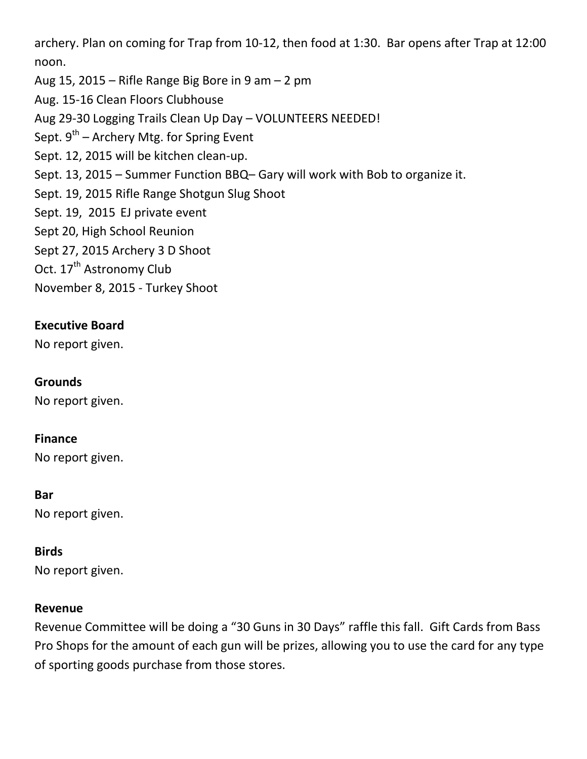archery. Plan on coming for Trap from 10-12, then food at 1:30. Bar opens after Trap at 12:00 noon.

Aug 15, 2015 – Rifle Range Big Bore in 9 am  $-$  2 pm

Aug. 15-16 Clean Floors Clubhouse

Aug 29-30 Logging Trails Clean Up Day – VOLUNTEERS NEEDED!

Sept. 9<sup>th</sup> – Archery Mtg. for Spring Event

Sept. 12, 2015 will be kitchen clean-up.

Sept. 13, 2015 – Summer Function BBQ– Gary will work with Bob to organize it.

Sept. 19, 2015 Rifle Range Shotgun Slug Shoot

Sept. 19, 2015 EJ private event

Sept 20, High School Reunion

Sept 27, 2015 Archery 3 D Shoot

Oct. 17<sup>th</sup> Astronomy Club

November 8, 2015 - Turkey Shoot

# **Executive Board**

No report given.

### **Grounds**

No report given.

### **Finance**

No report given.

### **Bar**

No report given.

### **Birds**

No report given.

### **Revenue**

Revenue Committee will be doing a "30 Guns in 30 Days" raffle this fall. Gift Cards from Bass Pro Shops for the amount of each gun will be prizes, allowing you to use the card for any type of sporting goods purchase from those stores.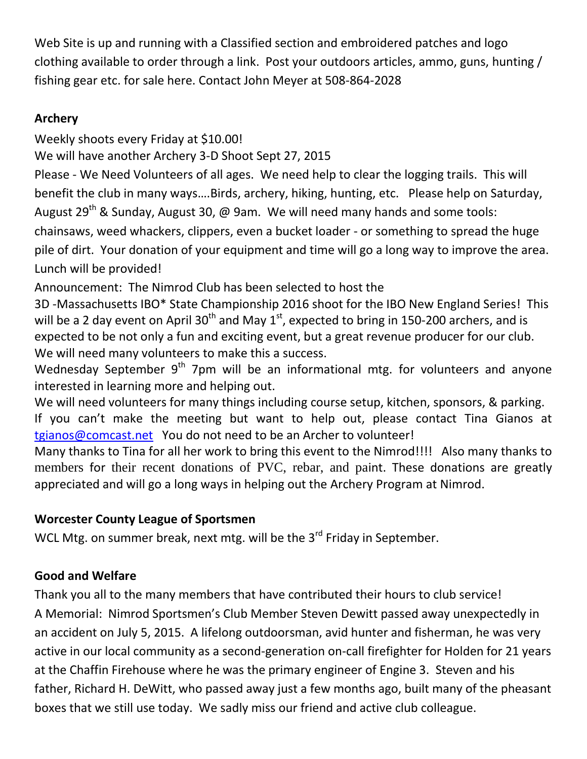Web Site is up and running with a Classified section and embroidered patches and logo clothing available to order through a link. Post your outdoors articles, ammo, guns, hunting / fishing gear etc. for sale here. Contact John Meyer at 508-864-2028

# **Archery**

Weekly shoots every Friday at \$10.00!

We will have another Archery 3-D Shoot Sept 27, 2015

Please - We Need Volunteers of all ages. We need help to clear the logging trails. This will benefit the club in many ways….Birds, archery, hiking, hunting, etc. Please help on Saturday, August  $29^{th}$  & Sunday, August 30, @ 9am. We will need many hands and some tools: chainsaws, weed whackers, clippers, even a bucket loader - or something to spread the huge pile of dirt. Your donation of your equipment and time will go a long way to improve the area.

Lunch will be provided!

Announcement: The Nimrod Club has been selected to host the

3D -Massachusetts IBO\* State Championship 2016 shoot for the IBO New England Series! This will be a 2 day event on April 30<sup>th</sup> and May 1<sup>st</sup>, expected to bring in 150-200 archers, and is expected to be not only a fun and exciting event, but a great revenue producer for our club. We will need many volunteers to make this a success.

Wednesday September  $9<sup>th</sup>$  7pm will be an informational mtg. for volunteers and anyone interested in learning more and helping out.

We will need volunteers for many things including course setup, kitchen, sponsors, & parking. If you can't make the meeting but want to help out, please contact Tina Gianos at [tgianos@comcast.net](mailto:tgianos@comcast.net) You do not need to be an Archer to volunteer!

Many thanks to Tina for all her work to bring this event to the Nimrod!!!! Also many thanks to members for their recent donations of PVC, rebar, and paint. These donations are greatly appreciated and will go a long ways in helping out the Archery Program at Nimrod.

# **Worcester County League of Sportsmen**

WCL Mtg. on summer break, next mtg. will be the  $3^{rd}$  Friday in September.

# **Good and Welfare**

Thank you all to the many members that have contributed their hours to club service! A Memorial: Nimrod Sportsmen's Club Member Steven Dewitt passed away unexpectedly in an accident on July 5, 2015. A lifelong outdoorsman, avid hunter and fisherman, he was very active in our local community as a second-generation on-call firefighter for Holden for 21 years at the Chaffin Firehouse where he was the primary engineer of Engine 3. Steven and his father, Richard H. DeWitt, who passed away just a few months ago, built many of the pheasant boxes that we still use today. We sadly miss our friend and active club colleague.